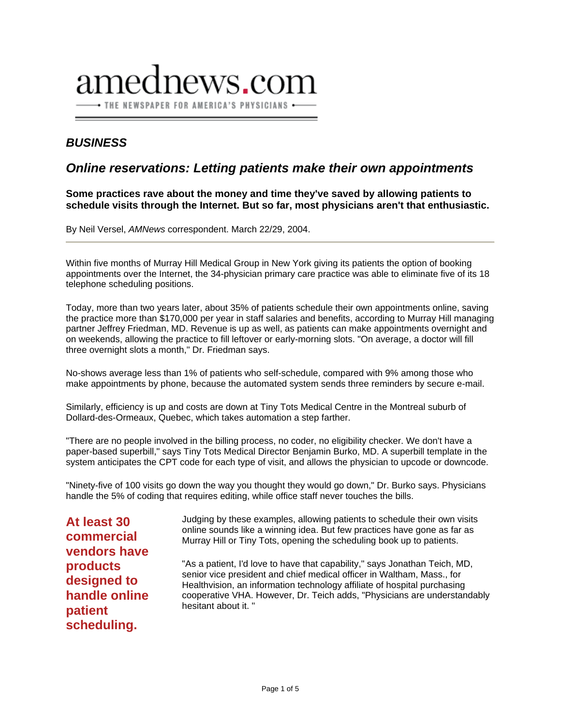# lnews.com • THE NEWSPAPER FOR AMERICA'S PHYSICIANS •

# *BUSINESS*

# *Online reservations: Letting patients make their own appointments*

**Some practices rave about the money and time they've saved by allowing patients to schedule visits through the Internet. But so far, most physicians aren't that enthusiastic.** 

By Neil Versel, *AMNews* correspondent. March 22/29, 2004.

Within five months of Murray Hill Medical Group in New York giving its patients the option of booking appointments over the Internet, the 34-physician primary care practice was able to eliminate five of its 18 telephone scheduling positions.

Today, more than two years later, about 35% of patients schedule their own appointments online, saving the practice more than \$170,000 per year in staff salaries and benefits, according to Murray Hill managing partner Jeffrey Friedman, MD. Revenue is up as well, as patients can make appointments overnight and on weekends, allowing the practice to fill leftover or early-morning slots. "On average, a doctor will fill three overnight slots a month," Dr. Friedman says.

No-shows average less than 1% of patients who self-schedule, compared with 9% among those who make appointments by phone, because the automated system sends three reminders by secure e-mail.

Similarly, efficiency is up and costs are down at Tiny Tots Medical Centre in the Montreal suburb of Dollard-des-Ormeaux, Quebec, which takes automation a step farther.

"There are no people involved in the billing process, no coder, no eligibility checker. We don't have a paper-based superbill," says Tiny Tots Medical Director Benjamin Burko, MD. A superbill template in the system anticipates the CPT code for each type of visit, and allows the physician to upcode or downcode.

"Ninety-five of 100 visits go down the way you thought they would go down," Dr. Burko says. Physicians handle the 5% of coding that requires editing, while office staff never touches the bills.

**At least 30 commercial vendors have products designed to handle online patient scheduling.** 

Judging by these examples, allowing patients to schedule their own visits online sounds like a winning idea. But few practices have gone as far as Murray Hill or Tiny Tots, opening the scheduling book up to patients.

"As a patient, I'd love to have that capability," says Jonathan Teich, MD, senior vice president and chief medical officer in Waltham, Mass., for Healthvision, an information technology affiliate of hospital purchasing cooperative VHA. However, Dr. Teich adds, "Physicians are understandably hesitant about it. "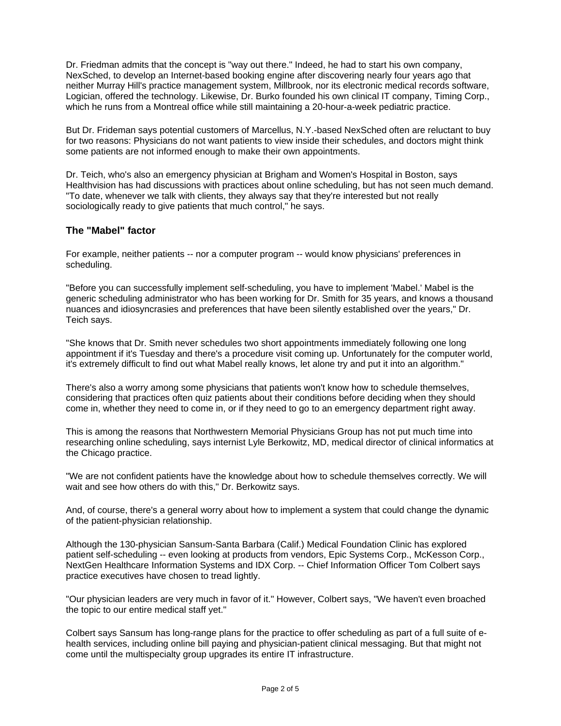Dr. Friedman admits that the concept is "way out there." Indeed, he had to start his own company, NexSched, to develop an Internet-based booking engine after discovering nearly four years ago that neither Murray Hill's practice management system, Millbrook, nor its electronic medical records software, Logician, offered the technology. Likewise, Dr. Burko founded his own clinical IT company, Timing Corp., which he runs from a Montreal office while still maintaining a 20-hour-a-week pediatric practice.

But Dr. Frideman says potential customers of Marcellus, N.Y.-based NexSched often are reluctant to buy for two reasons: Physicians do not want patients to view inside their schedules, and doctors might think some patients are not informed enough to make their own appointments.

Dr. Teich, who's also an emergency physician at Brigham and Women's Hospital in Boston, says Healthvision has had discussions with practices about online scheduling, but has not seen much demand. "To date, whenever we talk with clients, they always say that they're interested but not really sociologically ready to give patients that much control," he says.

## **The "Mabel" factor**

For example, neither patients -- nor a computer program -- would know physicians' preferences in scheduling.

"Before you can successfully implement self-scheduling, you have to implement 'Mabel.' Mabel is the generic scheduling administrator who has been working for Dr. Smith for 35 years, and knows a thousand nuances and idiosyncrasies and preferences that have been silently established over the years," Dr. Teich says.

"She knows that Dr. Smith never schedules two short appointments immediately following one long appointment if it's Tuesday and there's a procedure visit coming up. Unfortunately for the computer world, it's extremely difficult to find out what Mabel really knows, let alone try and put it into an algorithm."

There's also a worry among some physicians that patients won't know how to schedule themselves, considering that practices often quiz patients about their conditions before deciding when they should come in, whether they need to come in, or if they need to go to an emergency department right away.

This is among the reasons that Northwestern Memorial Physicians Group has not put much time into researching online scheduling, says internist Lyle Berkowitz, MD, medical director of clinical informatics at the Chicago practice.

"We are not confident patients have the knowledge about how to schedule themselves correctly. We will wait and see how others do with this," Dr. Berkowitz says.

And, of course, there's a general worry about how to implement a system that could change the dynamic of the patient-physician relationship.

Although the 130-physician Sansum-Santa Barbara (Calif.) Medical Foundation Clinic has explored patient self-scheduling -- even looking at products from vendors, Epic Systems Corp., McKesson Corp., NextGen Healthcare Information Systems and IDX Corp. -- Chief Information Officer Tom Colbert says practice executives have chosen to tread lightly.

"Our physician leaders are very much in favor of it." However, Colbert says, "We haven't even broached the topic to our entire medical staff yet."

Colbert says Sansum has long-range plans for the practice to offer scheduling as part of a full suite of ehealth services, including online bill paying and physician-patient clinical messaging. But that might not come until the multispecialty group upgrades its entire IT infrastructure.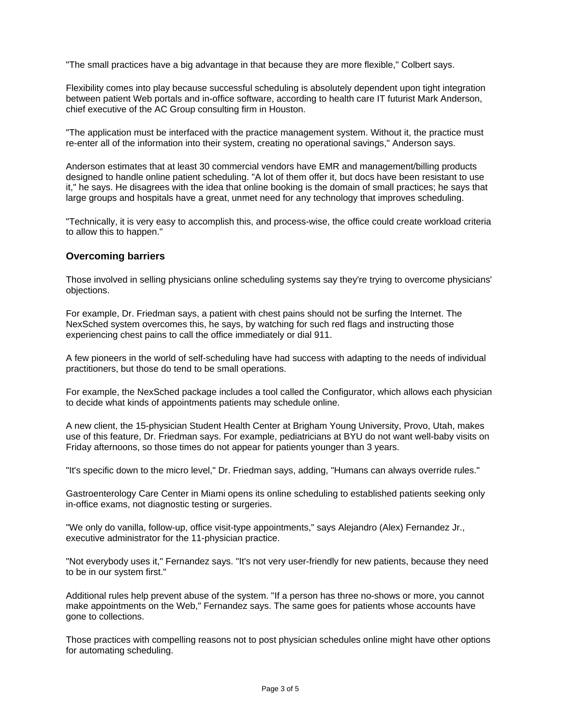"The small practices have a big advantage in that because they are more flexible," Colbert says.

Flexibility comes into play because successful scheduling is absolutely dependent upon tight integration between patient Web portals and in-office software, according to health care IT futurist Mark Anderson, chief executive of the AC Group consulting firm in Houston.

"The application must be interfaced with the practice management system. Without it, the practice must re-enter all of the information into their system, creating no operational savings," Anderson says.

Anderson estimates that at least 30 commercial vendors have EMR and management/billing products designed to handle online patient scheduling. "A lot of them offer it, but docs have been resistant to use it," he says. He disagrees with the idea that online booking is the domain of small practices; he says that large groups and hospitals have a great, unmet need for any technology that improves scheduling.

"Technically, it is very easy to accomplish this, and process-wise, the office could create workload criteria to allow this to happen."

#### **Overcoming barriers**

Those involved in selling physicians online scheduling systems say they're trying to overcome physicians' objections.

For example, Dr. Friedman says, a patient with chest pains should not be surfing the Internet. The NexSched system overcomes this, he says, by watching for such red flags and instructing those experiencing chest pains to call the office immediately or dial 911.

A few pioneers in the world of self-scheduling have had success with adapting to the needs of individual practitioners, but those do tend to be small operations.

For example, the NexSched package includes a tool called the Configurator, which allows each physician to decide what kinds of appointments patients may schedule online.

A new client, the 15-physician Student Health Center at Brigham Young University, Provo, Utah, makes use of this feature, Dr. Friedman says. For example, pediatricians at BYU do not want well-baby visits on Friday afternoons, so those times do not appear for patients younger than 3 years.

"It's specific down to the micro level," Dr. Friedman says, adding, "Humans can always override rules."

Gastroenterology Care Center in Miami opens its online scheduling to established patients seeking only in-office exams, not diagnostic testing or surgeries.

"We only do vanilla, follow-up, office visit-type appointments," says Alejandro (Alex) Fernandez Jr., executive administrator for the 11-physician practice.

"Not everybody uses it," Fernandez says. "It's not very user-friendly for new patients, because they need to be in our system first."

Additional rules help prevent abuse of the system. "If a person has three no-shows or more, you cannot make appointments on the Web," Fernandez says. The same goes for patients whose accounts have gone to collections.

Those practices with compelling reasons not to post physician schedules online might have other options for automating scheduling.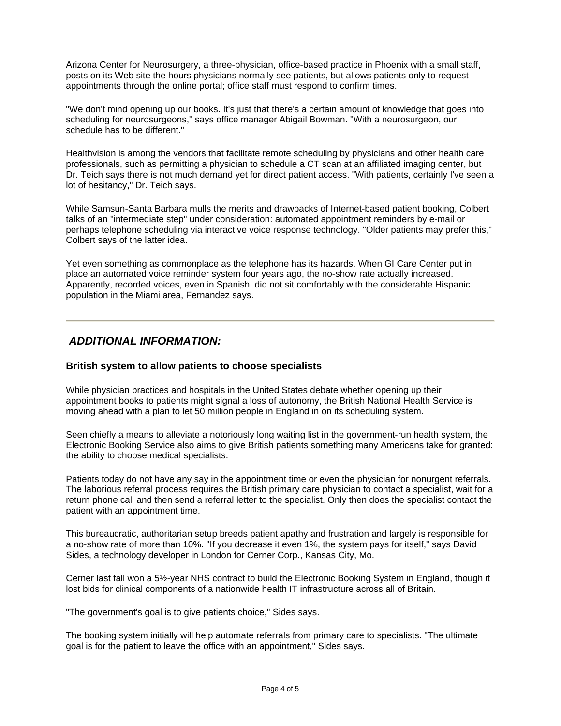Arizona Center for Neurosurgery, a three-physician, office-based practice in Phoenix with a small staff, posts on its Web site the hours physicians normally see patients, but allows patients only to request appointments through the online portal; office staff must respond to confirm times.

"We don't mind opening up our books. It's just that there's a certain amount of knowledge that goes into scheduling for neurosurgeons," says office manager Abigail Bowman. "With a neurosurgeon, our schedule has to be different."

Healthvision is among the vendors that facilitate remote scheduling by physicians and other health care professionals, such as permitting a physician to schedule a CT scan at an affiliated imaging center, but Dr. Teich says there is not much demand yet for direct patient access. "With patients, certainly I've seen a lot of hesitancy," Dr. Teich says.

While Samsun-Santa Barbara mulls the merits and drawbacks of Internet-based patient booking, Colbert talks of an "intermediate step" under consideration: automated appointment reminders by e-mail or perhaps telephone scheduling via interactive voice response technology. "Older patients may prefer this," Colbert says of the latter idea.

Yet even something as commonplace as the telephone has its hazards. When GI Care Center put in place an automated voice reminder system four years ago, the no-show rate actually increased. Apparently, recorded voices, even in Spanish, did not sit comfortably with the considerable Hispanic population in the Miami area, Fernandez says.

## *ADDITIONAL INFORMATION:*

#### **British system to allow patients to choose specialists**

While physician practices and hospitals in the United States debate whether opening up their appointment books to patients might signal a loss of autonomy, the British National Health Service is moving ahead with a plan to let 50 million people in England in on its scheduling system.

Seen chiefly a means to alleviate a notoriously long waiting list in the government-run health system, the Electronic Booking Service also aims to give British patients something many Americans take for granted: the ability to choose medical specialists.

Patients today do not have any say in the appointment time or even the physician for nonurgent referrals. The laborious referral process requires the British primary care physician to contact a specialist, wait for a return phone call and then send a referral letter to the specialist. Only then does the specialist contact the patient with an appointment time.

This bureaucratic, authoritarian setup breeds patient apathy and frustration and largely is responsible for a no-show rate of more than 10%. "If you decrease it even 1%, the system pays for itself," says David Sides, a technology developer in London for Cerner Corp., Kansas City, Mo.

Cerner last fall won a 5½-year NHS contract to build the Electronic Booking System in England, though it lost bids for clinical components of a nationwide health IT infrastructure across all of Britain.

"The government's goal is to give patients choice," Sides says.

The booking system initially will help automate referrals from primary care to specialists. "The ultimate goal is for the patient to leave the office with an appointment," Sides says.